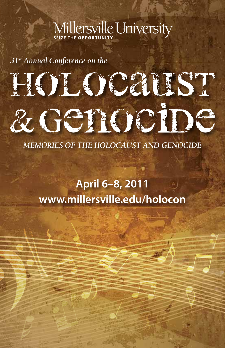## Millersville University

*31st Annual Conference on the*

# HOLOCALST & Genocipe

*MEMORIES OF THE HOLOCAUST AND GENOCIDE*

### **April 6–8, 2011 www.millersville.edu/holocon**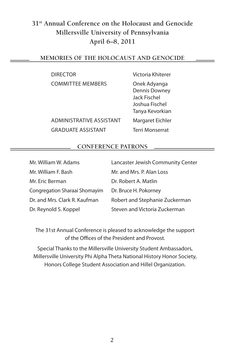#### **31st Annual Conference on the Holocaust and Genocide Millersville University of Pennsylvania April 6–8, 2011**

#### **Memories of the Holocaust and Genocide**

| <b>DIRECTOR</b>          |
|--------------------------|
| <b>COMMITTEE MEMBERS</b> |

Administrative Assistant Margaret Eichler Graduate Assistant Terri Monserrat

Victoria Khiterer

Onek Adyanga Dennis Downey Jack Fischel Joshua Fischel Tanya Kevorkian

#### **Conference Patrons**

| Mr. William W. Adams          | Lancaster Jewish Community Center |
|-------------------------------|-----------------------------------|
| Mr. William F. Bash           | Mr. and Mrs. P. Alan Loss         |
| Mr. Eric Berman               | Dr. Robert A. Matlin              |
| Congregation Sharaai Shomayim | Dr. Bruce H. Pokorney             |
| Dr. and Mrs. Clark R. Kaufman | Robert and Stephanie Zuckerman    |
| Dr. Reynold S. Koppel         | Steven and Victoria Zuckerman     |

The 31st Annual Conference is pleased to acknowledge the support of the Offices of the President and Provost.

Special Thanks to the Millersville University Student Ambassadors, Millersville University Phi Alpha Theta National History Honor Society, Honors College Student Association and Hillel Organization.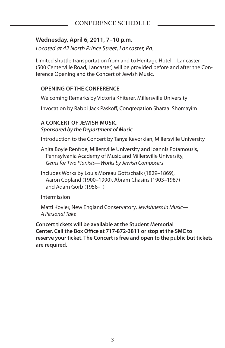#### **Wednesday, April 6, 2011, 7–10 p.m.**

*Located at 42 North Prince Street, Lancaster, Pa.*

Limited shuttle transportation from and to Heritage Hotel—Lancaster (500 Centerville Road, Lancaster) will be provided before and after the Conference Opening and the Concert of Jewish Music.

#### **Opening of the Conference**

Welcoming Remarks by Victoria Khiterer, Millersville University

Invocation by Rabbi Jack Paskoff, Congregation Sharaai Shomayim

#### **A Concert of Jewish Music** *Sponsored by the Department of Music*

Introduction to the Concert by Tanya Kevorkian, Millersville University

- Anita Boyle Renfroe, Millersville University and Ioannis Potamousis, Pennsylvania Academy of Music and Millersville University, *Gems for Two Pianists—Works by Jewish Composers*
- Includes Works by Louis Moreau Gottschalk (1829–1869), Aaron Copland (1900–1990), Abram Chasins (1903–1987) and Adam Gorb (1958– )

Intermission

Matti Kovler, New England Conservatory, *Jewishness in Music— A Personal Take*

**Concert tickets will be available at the Student Memorial Center. Call the Box Office at 717-872-3811 or stop at the SMC to reserve your ticket. The Concert is free and open to the public but tickets are required.**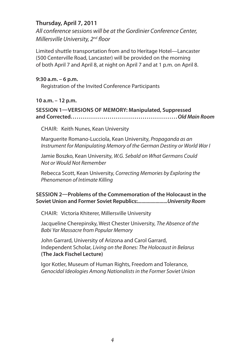#### **Thursday, April 7, 2011**

*All conference sessions will be at the Gordinier Conference Center, Millersville University, 2nd floor*

Limited shuttle transportation from and to Heritage Hotel—Lancaster (500 Centerville Road, Lancaster) will be provided on the morning of both April 7 and April 8, at night on April 7 and at 1 p.m. on April 8.

#### **9:30 a.m. – 6 p.m.**

Registration of the Invited Conference Participants

**10 a.m. – 12 p.m.** 

#### **Session 1—versions of Memory: Manipulated, Suppressed and Corrected. . . . . . . . . . . . . . . . . . . . . . . . . . . . . . . . . . . . . . . . . . . . . . . . . . . .***Old Main Room*

CHAIR: Keith Nunes, Kean University

Marguerite Romano-Lucciola, Kean University, *Propaganda as an Instrument for Manipulating Memory of the German Destiny or World War I*

Jamie Boszko, Kean University, *W.G. Sebald on What Germans Could Not or Would Not Remember*

Rebecca Scott, Kean University, *Correcting Memories by Exploring the Phenomenon of Intimate Killing*

#### **Session 2—Problems of the Commemoration of the Holocaust in the Soviet Union and Former Soviet Republics:***.......................University Room*

CHAIR: Victoria Khiterer, Millersville University

Jacqueline Cherepinsky, West Chester University, *The Absence of the Babi Yar Massacre from Popular Memory*

John Garrard, University of Arizona and Carol Garrard, Independent Scholar, *Living on the Bones: The Holocaust in Belarus*  **(The Jack Fischel Lecture)**

Igor Kotler, Museum of Human Rights, Freedom and Tolerance, *Genocidal Ideologies Among Nationalists in the Former Soviet Union*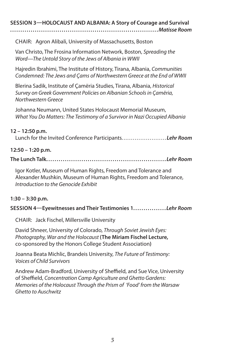**Session 3—HOLOCAUST AND ALBANIA: A Story of Courage and Survival**

**. . . . . . . . . . . . . . . . . . . . . . . . . . . . . . . . . . . . . . . . . . . . . . . . . . . . . . . . . . . . . . . . . . . . . . . .***Matisse Room*

CHAIR: Agron Alibali, University of Massachusetts, Boston

Van Christo, The Frosina Information Network, Boston, *Spreading the Word—The Untold Story of the Jews of Albania in WWII*

Hajredin Ibrahimi, The Institute of History, Tirana, Albania, *Communities Condemned: The Jews and Çams of Northwestern Greece at the End of WWII*

Blerina Sadik, Institute of Çamëria Studies, Tirana, Albania, *Historical Survey on Greek Government Policies on Albanian Schools in Çamëria, Northwestern Greece*

Johanna Neumann, United States Holocaust Memorial Museum, *What You Do Matters: The Testimony of a Survivor in Nazi Occupied Albania*

#### **12 – 12:50 p.m.**

Lunch for the Invited Conference Participants. . . . . . . . . . . . . . . . . . . . . . . . *Lehr Room*

#### **12:50 – 1:20 p.m.**

**The Lunch Talk. . . . . . . . . . . . . . . . . . . . . . . . . . . . . . . . . . . . . . . . . . . . . . . . . . . . . . . . . .** *Lehr Room*

Igor Kotler, Museum of Human Rights, Freedom and Tolerance and Alexander Mushkin, Museum of Human Rights, Freedom and Tolerance, *Introduction to the Genocide Exhibit*

#### **1:30 – 3:30 p.m.**

#### **Session 4—Eyewitnesses and Their Testimonies 1. . . . . . . . . . . . . . . .** *Lehr Room*

CHAIR: Jack Fischel, Millersville University

David Shneer, University of Colorado, *Through Soviet Jewish Eyes: Photography, War and the Holocaust* **(The Miriam Fischel Lecture,** co-sponsored by the Honors College Student Association**)**

Joanna Beata Michlic, Brandeis University, *The Future of Testimony: Voices of Child Survivors*

Andrew Adam-Bradford, University of Sheffield, and Sue Vice, University of Sheffield, *Concentration Camp Agriculture and Ghetto Gardens: Memories of the Holocaust Through the Prism of 'Food' from the Warsaw Ghetto to Auschwitz*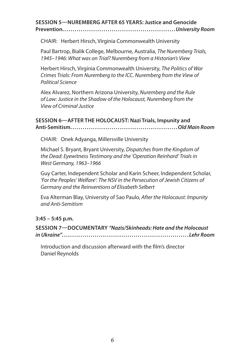#### **Session 5—Nuremberg after 65 Years: Justice and Genocide Prevention. . . . . . . . . . . . . . . . . . . . . . . . . . . . . . . . . . . . . . . . . . . . . . . . . . . . . . .***University Room*

CHAIR: Herbert Hirsch, Virginia Commonwealth University

Paul Bartrop, Bialik College, Melbourne, Australia, *The Nuremberg Trials, 1945–1946: What was on Trial? Nuremberg from a Historian's View*

Herbert Hirsch, Virginia Commonwealth University, *The Politics of War Crimes Trials: From Nuremberg to the ICC. Nuremberg from the View of Political Science*

Alex Alvarez, Northern Arizona University, *Nuremberg and the Rule of Law: Justice in the Shadow of the Holocaust, Nuremberg from the View of Criminal Justice*

#### **Session 6—After the Holocaust: Nazi Trials, Impunity and Anti-Semitism. . . . . . . . . . . . . . . . . . . . . . . . . . . . . . . . . . . . . . . . . . . . . . . . . . . .***Old Main Room*

CHAIR: Onek Adyanga, Millersville University

Michael S. Bryant, Bryant University, *Dispatches from the Kingdom of the Dead: Eyewitness Testimony and the 'Operation Reinhard' Trials in West Germany, 1963–1966*

Guy Carter, Independent Scholar and Karin Scheer, Independent Scholar, *'For the Peoples' Welfare': The NSV in the Persecution of Jewish Citizens of Germany and the Reinventions of Elisabeth Selbert*

Eva Alterman Blay, University of Sao Paulo, *After the Holocaust: Impunity and Anti-Semitism*

**3:45 – 5:45 p.m.** 

**Session 7—Documentary** *"Nazis/Skinheads: Hate and the Holocaust in Ukraine"***. . . . . . . . . . . . . . . . . . . . . . . . . . . . . . . . . . . . . . . . . . . . . . . . . . . . . . . . . . . . . .** *Lehr Room*

Introduction and discussion afterward with the film's director Daniel Reynolds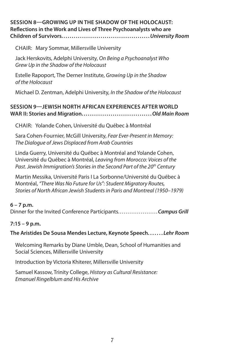#### **Session 8—Growing up in the Shadow of the Holocaust: Reflections in the Work and Lives of Three Psychoanalysts who are Children of Survivors. . . . . . . . . . . . . . . . . . . . . . . . . . . . . . . . . . . . . . . . . . .***University Room*

CHAIR: Mary Sommar, Millersville University

Jack Herskovits, Adelphi University, *On Being a Psychoanalyst Who Grew Up in the Shadow of the Holocaust*

Estelle Rapoport, The Derner Institute, *Growing Up in the Shadow of the Holocaust*

Michael D. Zentman, Adelphi University, *In the Shadow of the Holocaust*

#### **Session 9—jewish North African Experiences after World War II: Stories and Migration. . . . . . . . . . . . . . . . . . . . . . . . . . . . . . . . . .***Old Main Room*

Chair: Yolande Cohen, Université du Québec à Montréal

Sara Cohen-Fournier, McGill University, *Fear Ever-Present in Memory: The Dialogue of Jews Displaced from Arab Countries*

Linda Guerry, Université du Québec à Montréal and Yolande Cohen, Université du Québec à Montréal, *Leaving from Morocco: Voices of the*  Past. Jewish Immigration's Stories in the Second Part of the 20<sup>th</sup> Century

Martin Messika, Université Paris I La Sorbonne/Université du Québec à Montréal, *"There Was No Future for Us": Student Migratory Routes, Stories of North African Jewish Students in Paris and Montreal (1950–1979)*

#### **6 – 7 p.m.**

Dinner for the Invited Conference Participants. . . . . . . . . . . . . . . . . . . . .*Campus Grill*

#### **7:15 – 9 p.m.**

**The Aristides De Sousa Mendes Lecture, Keynote Speech. . . . . . .** *Lehr Room*

Welcoming Remarks by Diane Umble, Dean, School of Humanities and Social Sciences, Millersville University

Introduction by Victoria Khiterer, Millersville University

Samuel Kassow, Trinity College, *History as Cultural Resistance: Emanuel Ringelblum and His Archive*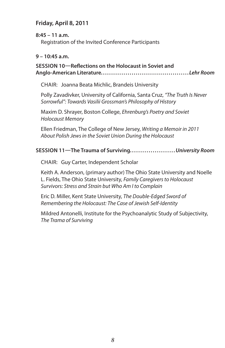#### **Friday, April 8, 2011**

#### **8:45 – 11 a.m.**

Registration of the Invited Conference Participants

#### **9 – 10:45 a.m.**

#### **Session 10—Reflections on the Holocaust in Soviet and Anglo-American Literature. . . . . . . . . . . . . . . . . . . . . . . . . . . . . . . . . . . . . . . . . . .** *Lehr Room*

CHAIR: Joanna Beata Michlic, Brandeis University

Polly Zavadivker, University of California, Santa Cruz, *"The Truth Is Never Sorrowful": Towards Vasilii Grossman's Philosophy of History*

Maxim D. Shrayer, Boston College, *Ehrenburg's Poetry and Soviet Holocaust Memory*

Ellen Friedman, The College of New Jersey, *Writing a Memoir in 2011 About Polish Jews in the Soviet Union During the Holocaust*

#### **Session 11—The Trauma of Surviving. . . . . . . . . . . . . . . . . . . . . .***University Room*

CHAIR: Guy Carter, Independent Scholar

Keith A. Anderson, (primary author) The Ohio State University and Noelle L. Fields, The Ohio State University, *Family Caregivers to Holocaust Survivors: Stress and Strain but Who Am I to Complain*

Eric D. Miller, Kent State University, *The Double-Edged Sword of Remembering the Holocaust: The Case of Jewish Self-Identity*

Mildred Antonelli, Institute for the Psychoanalytic Study of Subjectivity, *The Trama of Surviving*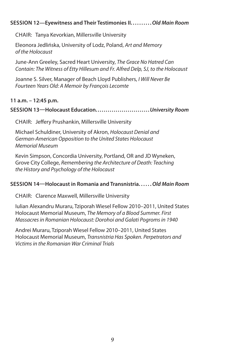#### **Session 12—Eyewitness and Their Testimonies II. . . . . . . . . .***Old Main Room*

CHAIR: Tanya Kevorkian, Millersville University

Eleonora Jedlińska, University of Lodz, Poland, *Art and Memory of the Holocaust*

June-Ann Greeley, Sacred Heart University, *The Grace No Hatred Can Contain: The Witness of Etty Hillesum and Fr. Alfred Delp, SJ, to the Holocaust*

Joanne S. Silver, Manager of Beach Lloyd Publishers, *I Will Never Be Fourteen Years Old: A Memoir by François Lecomte*

#### **11 a.m. – 12:45 p.m.**

#### **Session 13—Holocaust Education. . . . . . . . . . . . . . . . . . . . . . . . . . .***University Room*

CHAIR: Jeffery Prushankin, Millersville University

Michael Schuldiner, University of Akron, *Holocaust Denial and German-American Opposition to the United States Holocaust Memorial Museum*

Kevin Simpson, Concordia University, Portland, OR and JD Wyneken, Grove City College, *Remembering the Architecture of Death: Teaching the History and Psychology of the Holocaust*

#### **Session 14—Holocaust in Romania and Transnistria. . . . . .***Old Main Room*

CHAIR: Clarence Maxwell, Millersville University

Iulian Alexandru Muraru, Tziporah Wiesel Fellow 2010–2011, United States Holocaust Memorial Museum, *The Memory of a Blood Summer. First Massacres in Romanian Holocaust: Dorohoi and Galati Pogroms in 1940*

Andrei Muraru, Tziporah Wiesel Fellow 2010–2011, United States Holocaust Memorial Museum, *Transnistria Has Spoken. Perpetrators and Victims in the Romanian War Criminal Trials*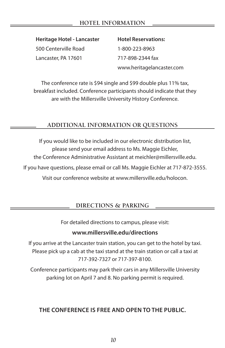#### **hotel information**

**Heritage Hotel - Lancaster Hotel Reservations:** 500 Centerville Road 1-800-223-8963

Lancaster, PA 17601 717-898-2344 fax

www.heritagelancaster.com

The conference rate is \$94 single and \$99 double plus 11% tax, breakfast included. Conference participants should indicate that they are with the Millersville University History Conference.

#### **Additional Information or Questions**

If you would like to be included in our electronic distribution list, please send your email address to Ms. Maggie Eichler, the Conference Administrative Assistant at meichler@millersville.edu. If you have questions, please email or call Ms. Maggie Eichler at 717-872-3555. Visit our conference website at www.millersville.edu/holocon.

#### **Directions & Parking**

For detailed directions to campus, please visit:

#### **www.millersville.edu/directions**

If you arrive at the Lancaster train station, you can get to the hotel by taxi. Please pick up a cab at the taxi stand at the train station or call a taxi at 717-392-7327 or 717-397-8100.

Conference participants may park their cars in any Millersville University parking lot on April 7 and 8. No parking permit is required.

#### **The Conference is Free and Open to the Public.**